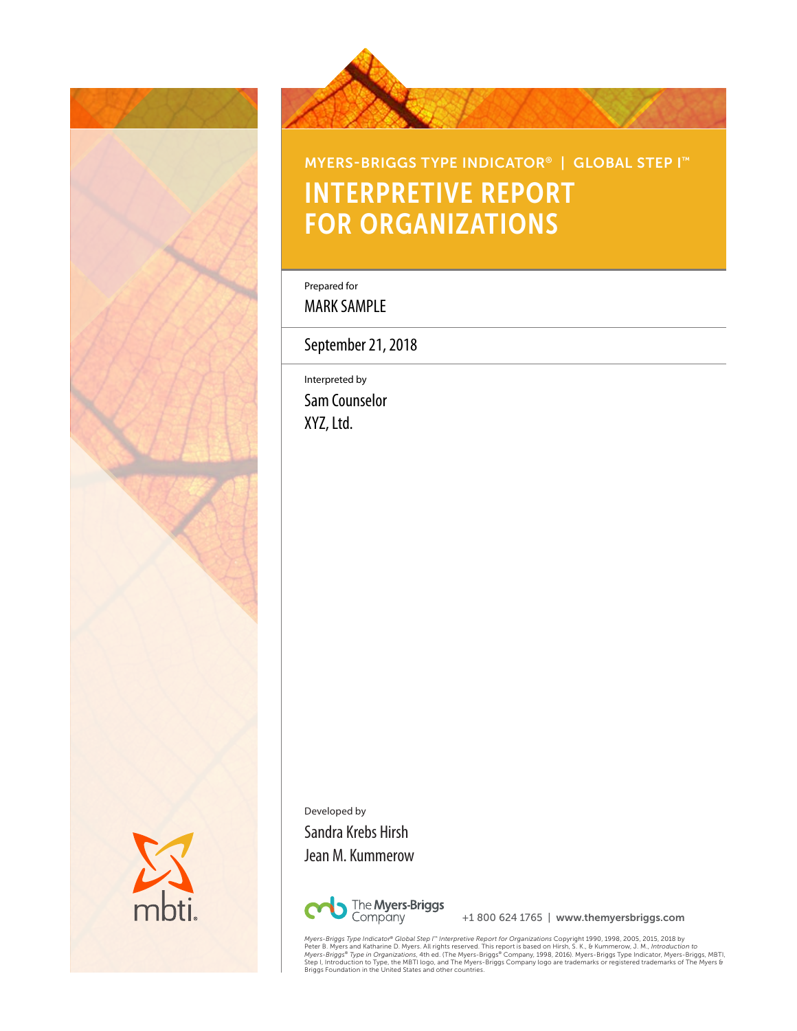



# MYERS-BRIGGS TYPE INDICATOR® | GLOBAL STEP I™ INTERPRETIVE REPORT FOR ORGANIZATIONS

Prepared for Prepared for

MARK SAMPLE

September 21, 2018

Interpreted by Interpreted by Sam Counselor **Massissippine** XYZ, Ltd.

Developed by Sandra Krebs Hirsh Jean M. Kummerow



+1 800 624 1765 | www.themyersbriggs.com

Myers-Briggs Type Indicator® Global Step I" Interpretive Report for Organizations Copyright 1990, 1998, 2005, 2018 by<br>Peter B. Myers and Katharine D. Myers. All rights reserved. This report is based on Hirsh, S. K., & Kumm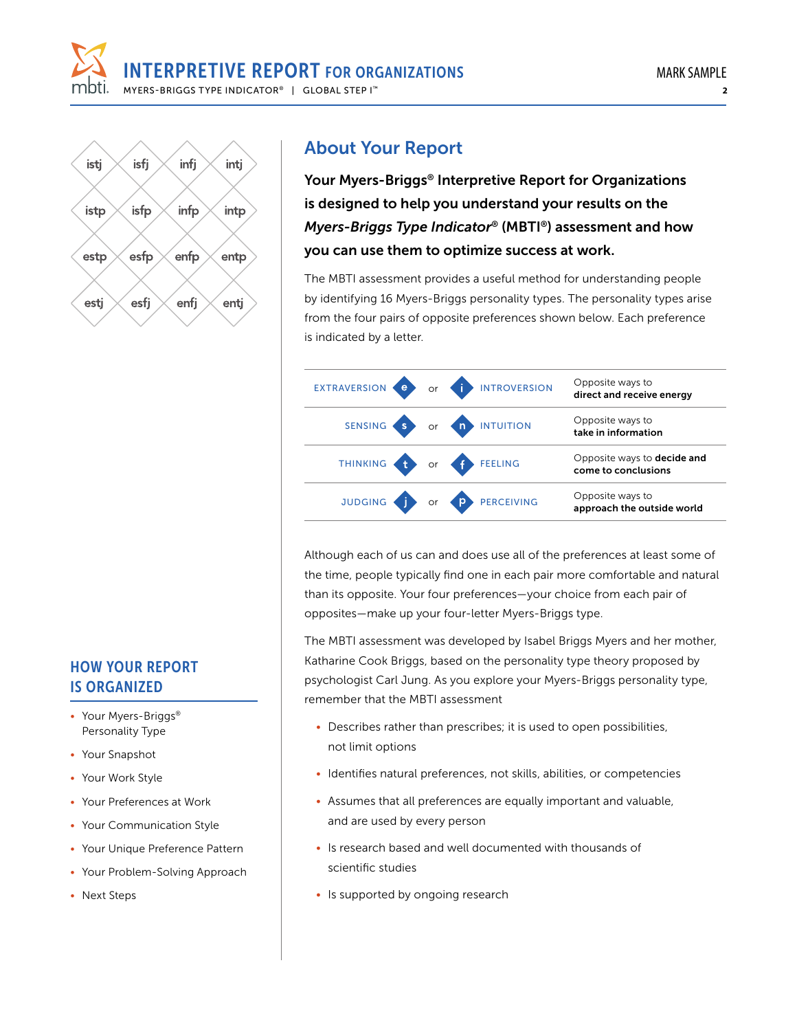

#### isfj infj istj intj isfp infp intp istp esfp enfp estp entp enfi esti esfi entj

# About Your Report

Your Myers-Briggs® Interpretive Report for Organizations is designed to help you understand your results on the *Myers-Briggs Type Indicator*® (MBTI®) assessment and how you can use them to optimize success at work.

The MBTI assessment provides a useful method for understanding people by identifying 16 Myers-Briggs personality types. The personality types arise from the four pairs of opposite preferences shown below. Each preference is indicated by a letter.

|  | EXTRAVERSION C Or I INTROVERSION | Opposite ways to<br>direct and receive energy             |
|--|----------------------------------|-----------------------------------------------------------|
|  | SENSING S OF A INTUITION         | Opposite ways to<br>take in information                   |
|  | THINKING to or f FEELING         | Opposite ways to <b>decide and</b><br>come to conclusions |
|  | JUDGING TO OF PERCEIVING         | Opposite ways to<br>approach the outside world            |

Although each of us can and does use all of the preferences at least some of the time, people typically find one in each pair more comfortable and natural than its opposite. Your four preferences—your choice from each pair of opposites—make up your four-letter Myers-Briggs type.

The MBTI assessment was developed by Isabel Briggs Myers and her mother, Katharine Cook Briggs, based on the personality type theory proposed by psychologist Carl Jung. As you explore your Myers-Briggs personality type, remember that the MBTI assessment

- Describes rather than prescribes; it is used to open possibilities, not limit options
- Identifies natural preferences, not skills, abilities, or competencies
- Assumes that all preferences are equally important and valuable, and are used by every person
- Is research based and well documented with thousands of scientific studies
- Is supported by ongoing research

## HOW YOUR REPORT IS ORGANIZED

- Your Myers-Briggs® Personality Type
- Your Snapshot
- Your Work Style
- Your Preferences at Work
- Your Communication Style
- Your Unique Preference Pattern
- Your Problem-Solving Approach
- Next Steps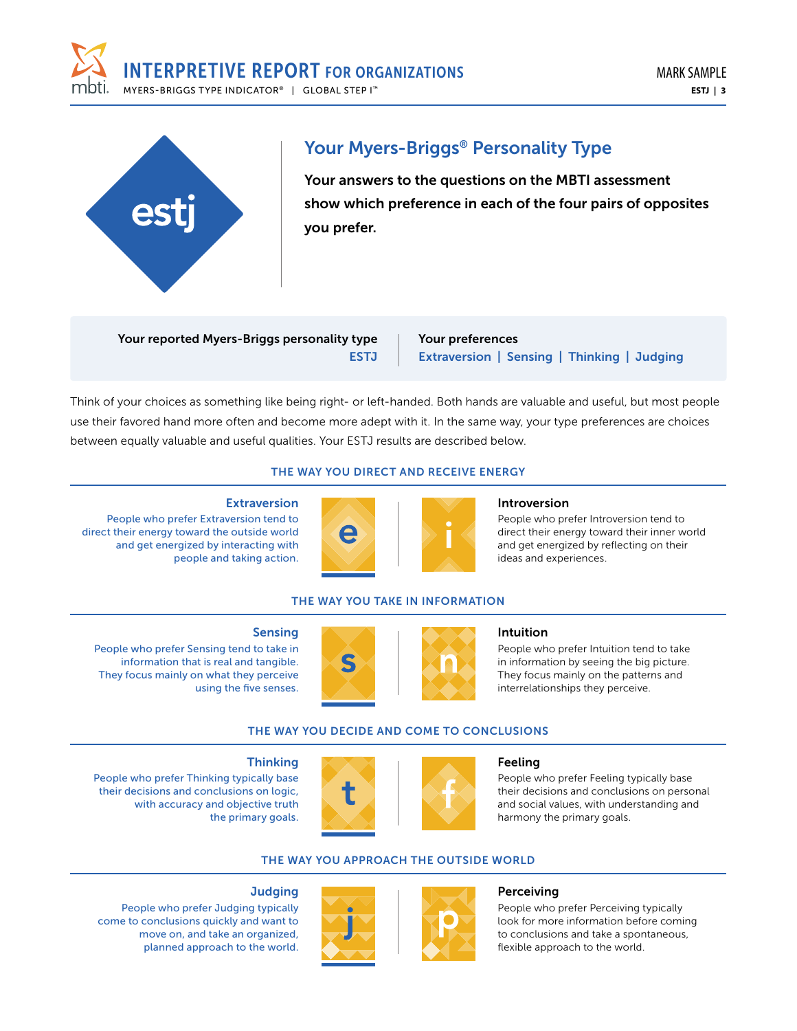



# Your Myers-Briggs® Personality Type

Your answers to the questions on the MBTI assessment show which preference in each of the four pairs of opposites you prefer.

Your reported Myers-Briggs personality type **ESTJ** 

Your preferences Extraversion | Sensing | Thinking | Judging

Think of your choices as something like being right- or left-handed. Both hands are valuable and useful, but most people use their favored hand more often and become more adept with it. In the same way, your type preferences are choices between equally valuable and useful qualities. Your ESTJ results are described below.

## THE WAY YOU DIRECT AND RECEIVE ENERGY

#### Extraversion

People who prefer Extraversion tend to direct their energy toward the outside world and get energized by interacting with people and taking action.



# Introversion

People who prefer Introversion tend to direct their energy toward their inner world and get energized by reflecting on their ideas and experiences.

## THE WAY YOU TAKE IN INFORMATION

#### Sensing

People who prefer Sensing tend to take in information that is real and tangible. They focus mainly on what they perceive using the five senses.

People who prefer Thinking typically base their decisions and conclusions on logic, with accuracy and objective truth



#### Intuition

People who prefer Intuition tend to take in information by seeing the big picture. They focus mainly on the patterns and interrelationships they perceive.

### THE WAY YOU DECIDE AND COME TO CONCLUSIONS



#### Feeling

People who prefer Feeling typically base their decisions and conclusions on personal and social values, with understanding and harmony the primary goals.

## THE WAY YOU APPROACH THE OUTSIDE WORLD



#### Perceiving

People who prefer Perceiving typically look for more information before coming to conclusions and take a spontaneous, flexible approach to the world.

### **Judging**

**Thinking** 

the primary goals.

People who prefer Judging typically come to conclusions quickly and want to move on, and take an organized, planned approach to the world.

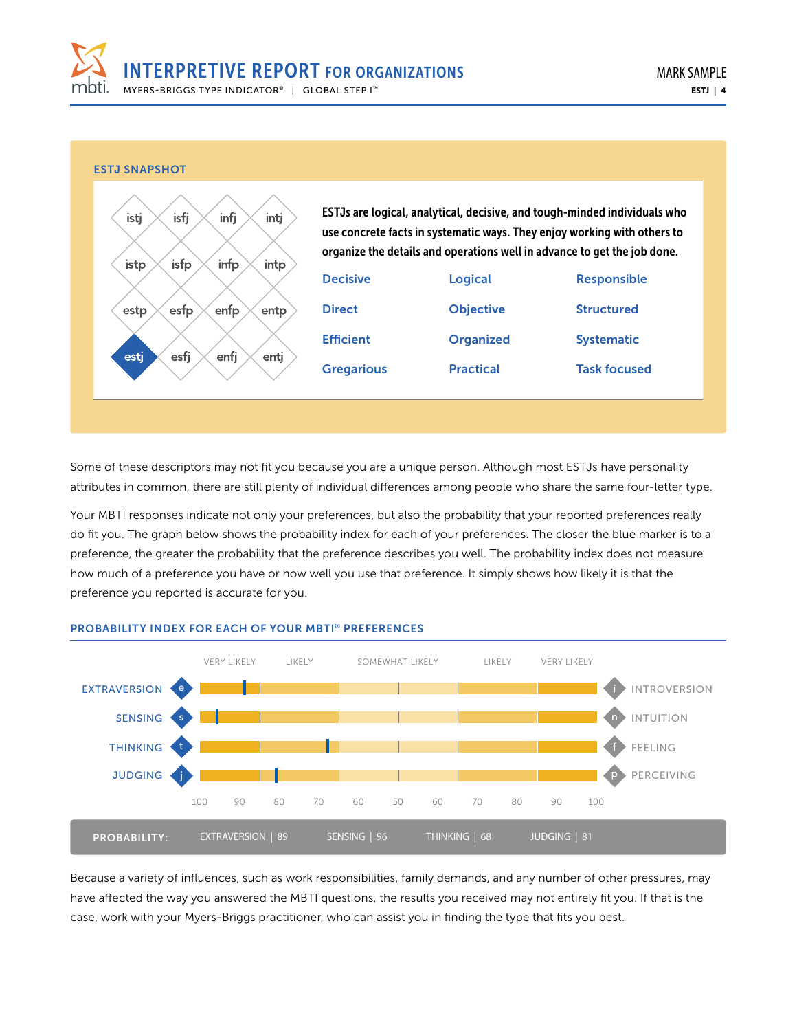



Some of these descriptors may not fit you because you are a unique person. Although most ESTJs have personality attributes in common, there are still plenty of individual differences among people who share the same four-letter type.

Your MBTI responses indicate not only your preferences, but also the probability that your reported preferences really do fit you. The graph below shows the probability index for each of your preferences. The closer the blue marker is to a preference, the greater the probability that the preference describes you well. The probability index does not measure how much of a preference you have or how well you use that preference. It simply shows how likely it is that the preference you reported is accurate for you.



#### PROBABILITY INDEX FOR EACH OF YOUR MBTI® PREFERENCES

Because a variety of influences, such as work responsibilities, family demands, and any number of other pressures, may have affected the way you answered the MBTI questions, the results you received may not entirely fit you. If that is the case, work with your Myers-Briggs practitioner, who can assist you in finding the type that fits you best.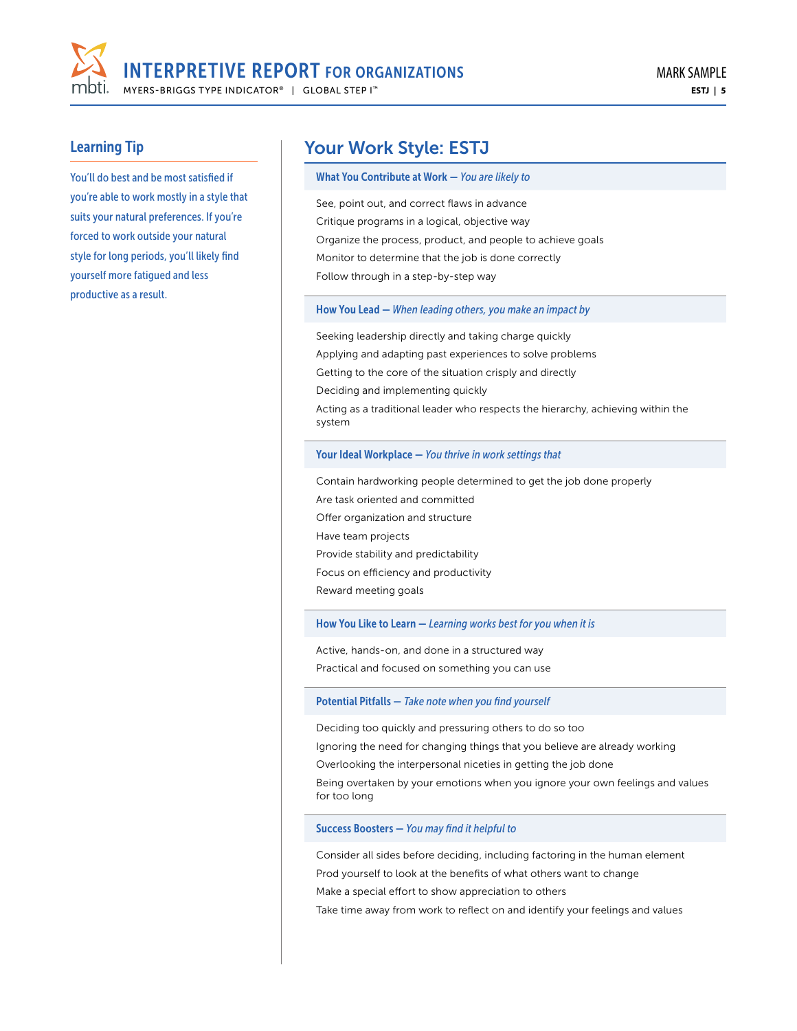

You'll do best and be most satisfied if you're able to work mostly in a style that suits your natural preferences. If you're forced to work outside your natural style for long periods, you'll likely find yourself more fatigued and less productive as a result.

# Your Work Style: ESTJ

#### What You Contribute at Work — *You are likely to*

See, point out, and correct flaws in advance Critique programs in a logical, objective way Organize the process, product, and people to achieve goals Monitor to determine that the job is done correctly Follow through in a step-by-step way

#### How You Lead — *When leading others, you make an impact by*

Seeking leadership directly and taking charge quickly Applying and adapting past experiences to solve problems Getting to the core of the situation crisply and directly Deciding and implementing quickly Acting as a traditional leader who respects the hierarchy, achieving within the system

#### Your Ideal Workplace — *You thrive in work settings that*

Contain hardworking people determined to get the job done properly Are task oriented and committed Offer organization and structure Have team projects Provide stability and predictability Focus on efficiency and productivity Reward meeting goals

#### How You Like to Learn — *Learning works best for you when it is*

Active, hands-on, and done in a structured way Practical and focused on something you can use

#### Potential Pitfalls — *Take note when you find yourself*

Deciding too quickly and pressuring others to do so too

Ignoring the need for changing things that you believe are already working

Overlooking the interpersonal niceties in getting the job done

Being overtaken by your emotions when you ignore your own feelings and values for too long

#### Success Boosters — *You may find it helpful to*

Consider all sides before deciding, including factoring in the human element Prod yourself to look at the benefits of what others want to change Make a special effort to show appreciation to others

Take time away from work to reflect on and identify your feelings and values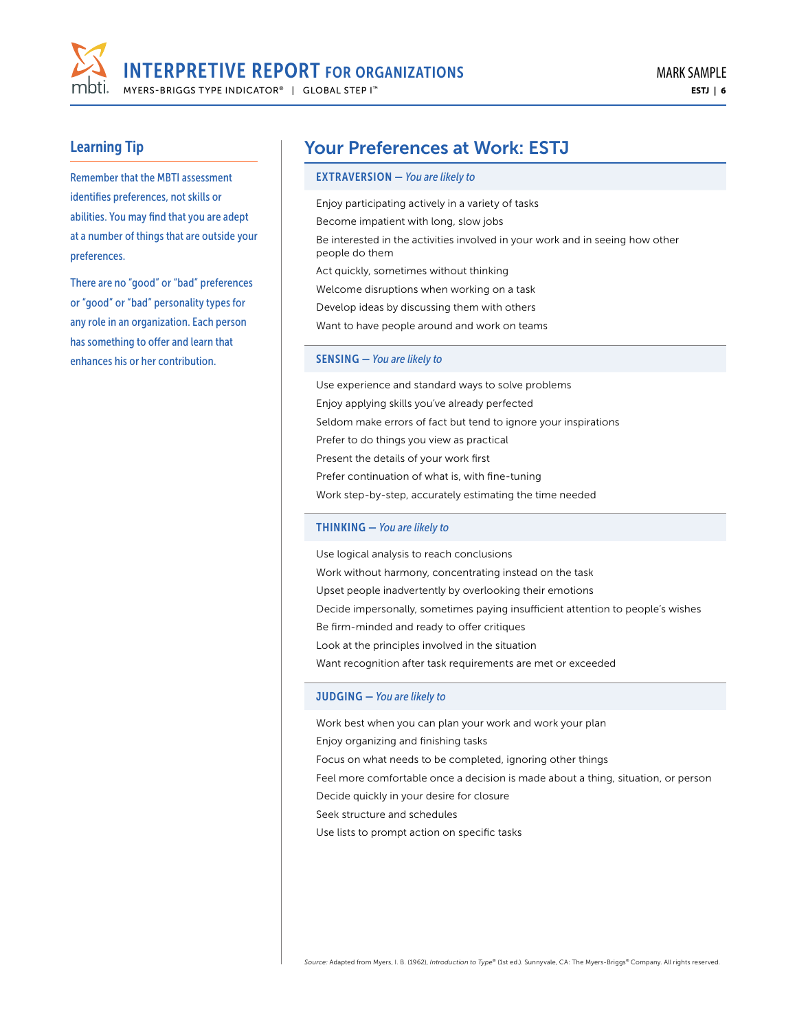

Remember that the MBTI assessment identifies preferences, not skills or abilities. You may find that you are adept at a number of things that are outside your preferences.

There are no "good" or "bad" preferences or "good" or "bad" personality types for any role in an organization. Each person has something to offer and learn that enhances his or her contribution.

# Your Preferences at Work: ESTJ

#### EXTRAVERSION — *You are likely to*

Enjoy participating actively in a variety of tasks Become impatient with long, slow jobs Be interested in the activities involved in your work and in seeing how other people do them Act quickly, sometimes without thinking Welcome disruptions when working on a task Develop ideas by discussing them with others Want to have people around and work on teams

#### SENSING — *You are likely to*

Use experience and standard ways to solve problems Enjoy applying skills you've already perfected Seldom make errors of fact but tend to ignore your inspirations Prefer to do things you view as practical Present the details of your work first Prefer continuation of what is, with fine-tuning Work step-by-step, accurately estimating the time needed

#### THINKING — *You are likely to*

Use logical analysis to reach conclusions Work without harmony, concentrating instead on the task Upset people inadvertently by overlooking their emotions Decide impersonally, sometimes paying insufficient attention to people's wishes Be firm-minded and ready to offer critiques Look at the principles involved in the situation Want recognition after task requirements are met or exceeded

#### JUDGING — *You are likely to*

Work best when you can plan your work and work your plan Enjoy organizing and finishing tasks Focus on what needs to be completed, ignoring other things Feel more comfortable once a decision is made about a thing, situation, or person Decide quickly in your desire for closure Seek structure and schedules Use lists to prompt action on specific tasks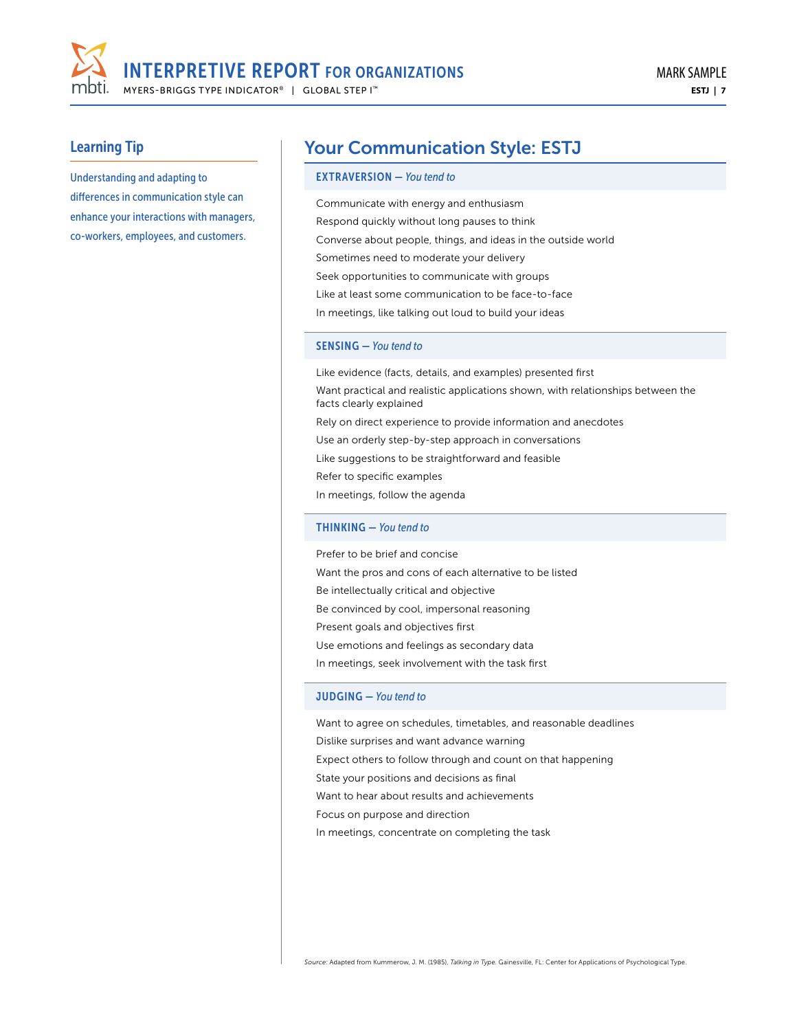

Understanding and adapting to differences in communication style can enhance your interactions with managers, co-workers, employees, and customers.

# Your Communication Style: ESTJ

#### EXTRAVERSION — *You tend to*

Communicate with energy and enthusiasm Respond quickly without long pauses to think Converse about people, things, and ideas in the outside world Sometimes need to moderate your delivery Seek opportunities to communicate with groups Like at least some communication to be face-to-face

In meetings, like talking out loud to build your ideas

#### SENSING — *You tend to*

Like evidence (facts, details, and examples) presented first Want practical and realistic applications shown, with relationships between the facts clearly explained Rely on direct experience to provide information and anecdotes Use an orderly step-by-step approach in conversations Like suggestions to be straightforward and feasible Refer to specific examples In meetings, follow the agenda THINKING — *You tend to* 

Prefer to be brief and concise Want the pros and cons of each alternative to be listed Be intellectually critical and objective Be convinced by cool, impersonal reasoning Present goals and objectives first Use emotions and feelings as secondary data In meetings, seek involvement with the task first

#### JUDGING — *You tend to*

Want to agree on schedules, timetables, and reasonable deadlines Dislike surprises and want advance warning Expect others to follow through and count on that happening State your positions and decisions as final Want to hear about results and achievements Focus on purpose and direction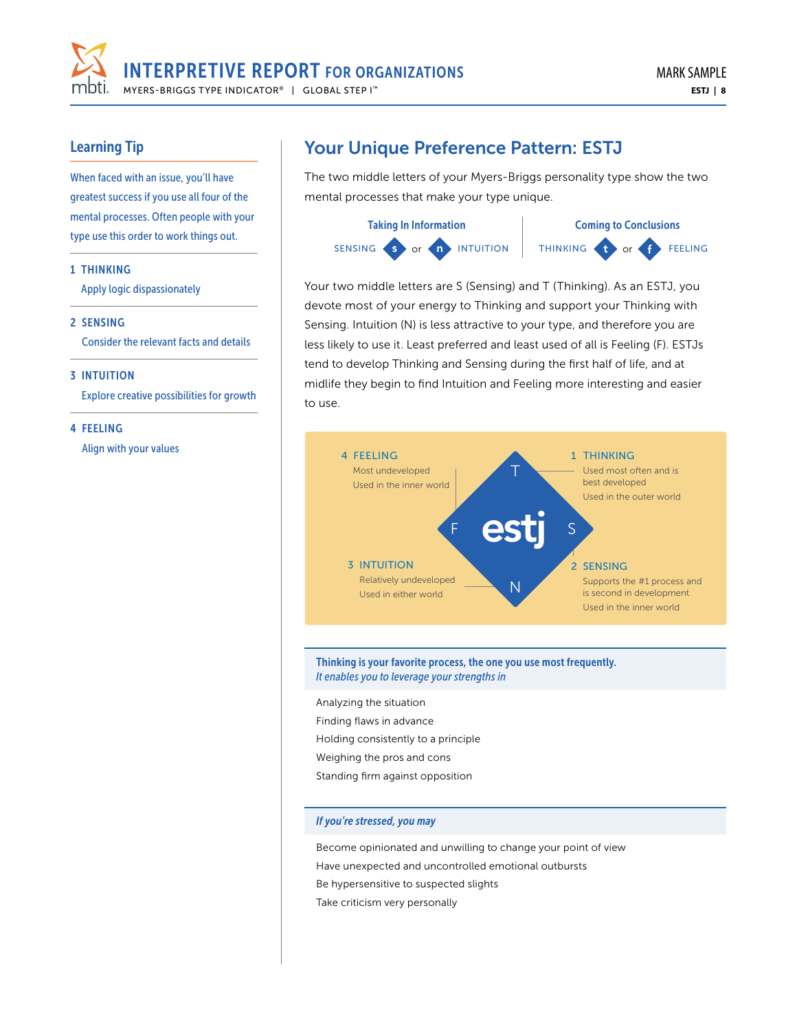

When faced with an issue, you'll have greatest success if you use all four of the mental processes. Often people with your type use this order to work things out.

#### 1 THINKING

Apply logic dispassionately

#### 2 SENSING

Consider the relevant facts and details

#### 3 INTUITION

Explore creative possibilities for growth

#### 4 FEELING

Align with your values

# Your Unique Preference Pattern: ESTJ

The two middle letters of your Myers-Briggs personality type show the two mental processes that make your type unique.





Your two middle letters are S (Sensing) and T (Thinking). As an ESTJ, you devote most of your energy to Thinking and support your Thinking with Sensing. Intuition (N) is less attractive to your type, and therefore you are less likely to use it. Least preferred and least used of all is Feeling (F). ESTJs tend to develop Thinking and Sensing during the first half of life, and at midlife they begin to find Intuition and Feeling more interesting and easier to use.



#### Thinking is your favorite process, the one you use most frequently. *It enables you to leverage your strengths in*

Analyzing the situation Finding flaws in advance Holding consistently to a principle Weighing the pros and cons

Standing firm against opposition

#### *If you're stressed, you may*

Become opinionated and unwilling to change your point of view Have unexpected and uncontrolled emotional outbursts Be hypersensitive to suspected slights Take criticism very personally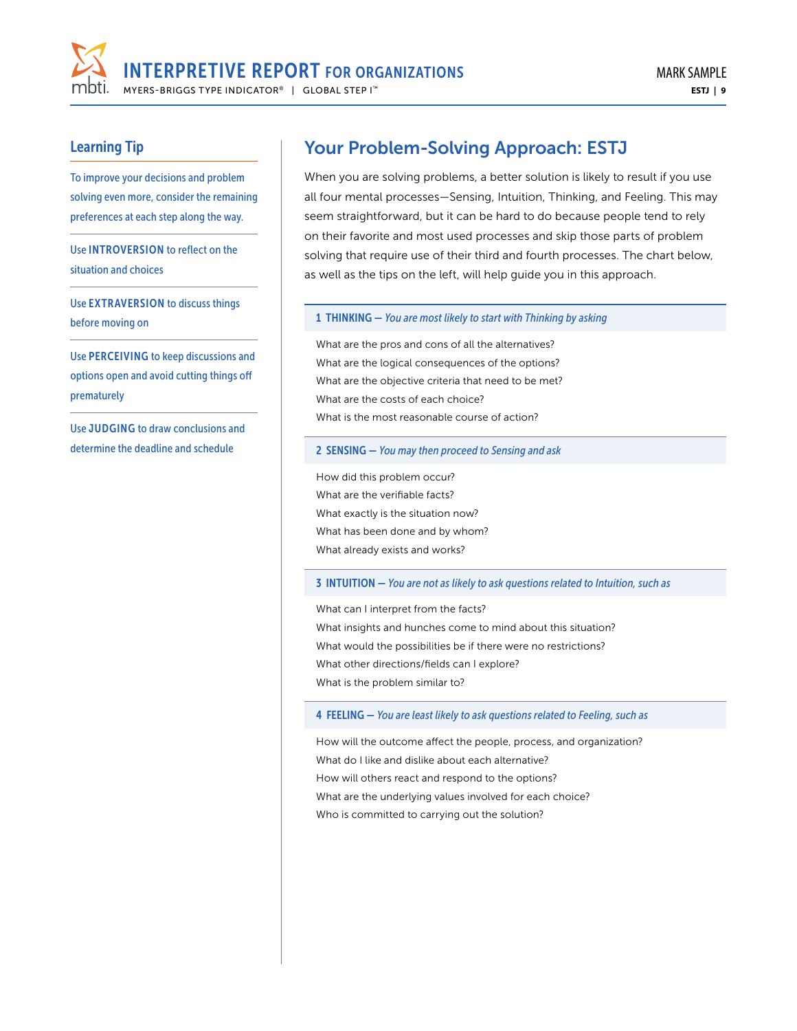

To improve your decisions and problem solving even more, consider the remaining preferences at each step along the way.

Use INTROVERSION to reflect on the situation and choices

Use EXTRAVERSION to discuss things before moving on

Use PERCEIVING to keep discussions and options open and avoid cutting things off prematurely

Use JUDGING to draw conclusions and determine the deadline and schedule

# Your Problem-Solving Approach: ESTJ

When you are solving problems, a better solution is likely to result if you use all four mental processes—Sensing, Intuition, Thinking, and Feeling. This may seem straightforward, but it can be hard to do because people tend to rely on their favorite and most used processes and skip those parts of problem solving that require use of their third and fourth processes. The chart below, as well as the tips on the left, will help guide you in this approach.

#### 1 THINKING — *You are most likely to start with Thinking by asking*

What are the pros and cons of all the alternatives? What are the logical consequences of the options? What are the objective criteria that need to be met? What are the costs of each choice? What is the most reasonable course of action?

#### 2 SENSING — *You may then proceed to Sensing and ask*

How did this problem occur? What are the verifiable facts? What exactly is the situation now? What has been done and by whom? What already exists and works?

#### 3 INTUITION — *You are not as likely to ask questions related to Intuition, such as*

What can I interpret from the facts? What insights and hunches come to mind about this situation? What would the possibilities be if there were no restrictions? What other directions/fields can I explore? What is the problem similar to?

4 FEELING — *You are least likely to ask questions related to Feeling, such as*

How will the outcome affect the people, process, and organization? What do I like and dislike about each alternative? How will others react and respond to the options? What are the underlying values involved for each choice? Who is committed to carrying out the solution?